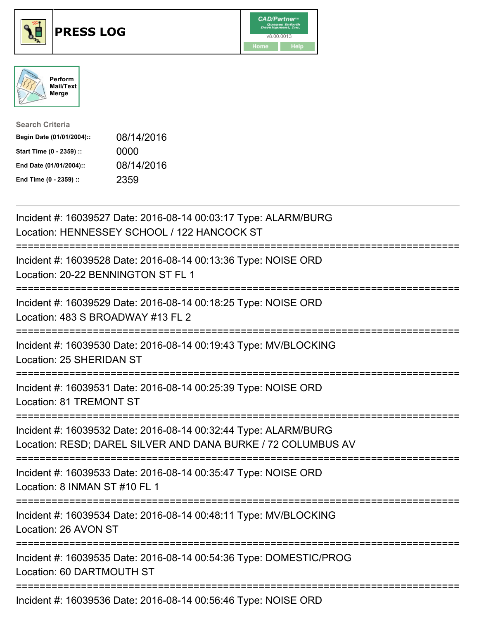





| <b>Search Criteria</b>    |            |
|---------------------------|------------|
| Begin Date (01/01/2004):: | 08/14/2016 |
| Start Time (0 - 2359) ::  | 0000       |
| End Date (01/01/2004)::   | 08/14/2016 |
| End Time (0 - 2359) ::    | 2359       |

| Incident #: 16039527 Date: 2016-08-14 00:03:17 Type: ALARM/BURG<br>Location: HENNESSEY SCHOOL / 122 HANCOCK ST                  |
|---------------------------------------------------------------------------------------------------------------------------------|
| Incident #: 16039528 Date: 2016-08-14 00:13:36 Type: NOISE ORD<br>Location: 20-22 BENNINGTON ST FL 1                            |
| Incident #: 16039529 Date: 2016-08-14 00:18:25 Type: NOISE ORD<br>Location: 483 S BROADWAY #13 FL 2                             |
| Incident #: 16039530 Date: 2016-08-14 00:19:43 Type: MV/BLOCKING<br>Location: 25 SHERIDAN ST                                    |
| Incident #: 16039531 Date: 2016-08-14 00:25:39 Type: NOISE ORD<br>Location: 81 TREMONT ST                                       |
| Incident #: 16039532 Date: 2016-08-14 00:32:44 Type: ALARM/BURG<br>Location: RESD; DAREL SILVER AND DANA BURKE / 72 COLUMBUS AV |
| Incident #: 16039533 Date: 2016-08-14 00:35:47 Type: NOISE ORD<br>Location: 8 INMAN ST #10 FL 1<br>=============                |
| Incident #: 16039534 Date: 2016-08-14 00:48:11 Type: MV/BLOCKING<br>Location: 26 AVON ST                                        |
| Incident #: 16039535 Date: 2016-08-14 00:54:36 Type: DOMESTIC/PROG<br>Location: 60 DARTMOUTH ST                                 |
| Incident #: 16039536 Date: 2016-08-14 00:56:46 Type: NOISE ORD                                                                  |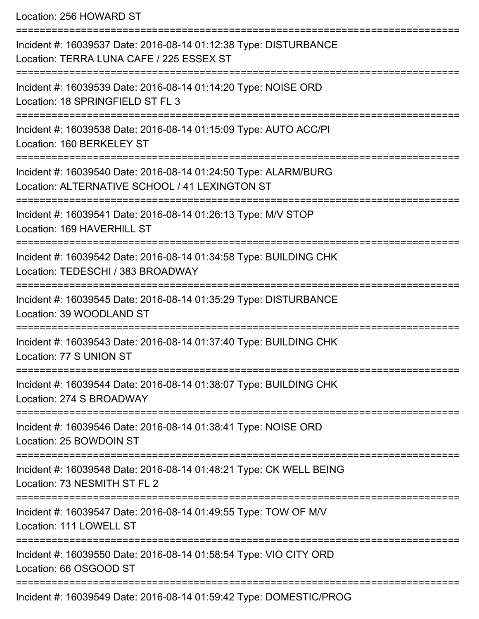Location: 256 HOWARD ST

| Incident #: 16039537 Date: 2016-08-14 01:12:38 Type: DISTURBANCE<br>Location: TERRA LUNA CAFE / 225 ESSEX ST                     |
|----------------------------------------------------------------------------------------------------------------------------------|
| Incident #: 16039539 Date: 2016-08-14 01:14:20 Type: NOISE ORD<br>Location: 18 SPRINGFIELD ST FL 3                               |
| Incident #: 16039538 Date: 2016-08-14 01:15:09 Type: AUTO ACC/PI<br>Location: 160 BERKELEY ST                                    |
| Incident #: 16039540 Date: 2016-08-14 01:24:50 Type: ALARM/BURG<br>Location: ALTERNATIVE SCHOOL / 41 LEXINGTON ST                |
| Incident #: 16039541 Date: 2016-08-14 01:26:13 Type: M/V STOP<br>Location: 169 HAVERHILL ST                                      |
| Incident #: 16039542 Date: 2016-08-14 01:34:58 Type: BUILDING CHK<br>Location: TEDESCHI / 383 BROADWAY                           |
| Incident #: 16039545 Date: 2016-08-14 01:35:29 Type: DISTURBANCE<br>Location: 39 WOODLAND ST                                     |
| Incident #: 16039543 Date: 2016-08-14 01:37:40 Type: BUILDING CHK<br>Location: 77 S UNION ST                                     |
| Incident #: 16039544 Date: 2016-08-14 01:38:07 Type: BUILDING CHK<br>Location: 274 S BROADWAY                                    |
| Incident #: 16039546 Date: 2016-08-14 01:38:41 Type: NOISE ORD<br>Location: 25 BOWDOIN ST                                        |
| ==========================<br>Incident #: 16039548 Date: 2016-08-14 01:48:21 Type: CK WELL BEING<br>Location: 73 NESMITH ST FL 2 |
| Incident #: 16039547 Date: 2016-08-14 01:49:55 Type: TOW OF M/V<br>Location: 111 LOWELL ST                                       |
| Incident #: 16039550 Date: 2016-08-14 01:58:54 Type: VIO CITY ORD<br>Location: 66 OSGOOD ST                                      |
| Incident #: 16039549 Date: 2016-08-14 01:59:42 Type: DOMESTIC/PROG                                                               |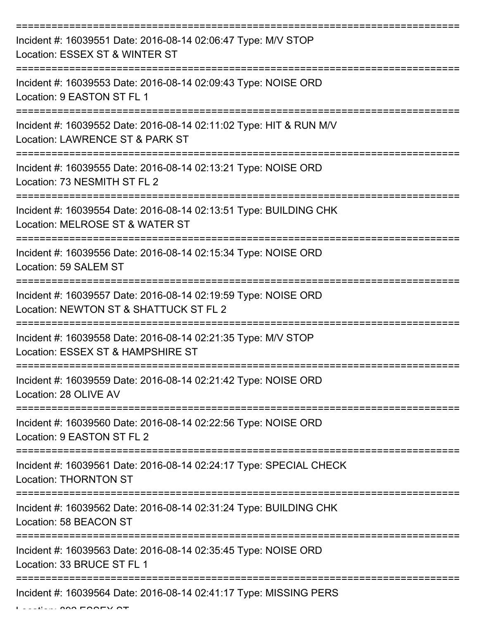| Incident #: 16039551 Date: 2016-08-14 02:06:47 Type: M/V STOP<br>Location: ESSEX ST & WINTER ST          |
|----------------------------------------------------------------------------------------------------------|
| Incident #: 16039553 Date: 2016-08-14 02:09:43 Type: NOISE ORD<br>Location: 9 EASTON ST FL 1             |
| Incident #: 16039552 Date: 2016-08-14 02:11:02 Type: HIT & RUN M/V<br>Location: LAWRENCE ST & PARK ST    |
| Incident #: 16039555 Date: 2016-08-14 02:13:21 Type: NOISE ORD<br>Location: 73 NESMITH ST FL 2           |
| Incident #: 16039554 Date: 2016-08-14 02:13:51 Type: BUILDING CHK<br>Location: MELROSE ST & WATER ST     |
| Incident #: 16039556 Date: 2016-08-14 02:15:34 Type: NOISE ORD<br>Location: 59 SALEM ST                  |
| Incident #: 16039557 Date: 2016-08-14 02:19:59 Type: NOISE ORD<br>Location: NEWTON ST & SHATTUCK ST FL 2 |
| Incident #: 16039558 Date: 2016-08-14 02:21:35 Type: M/V STOP<br>Location: ESSEX ST & HAMPSHIRE ST       |
| Incident #: 16039559 Date: 2016-08-14 02:21:42 Type: NOISE ORD<br>Location: 28 OLIVE AV                  |
| Incident #: 16039560 Date: 2016-08-14 02:22:56 Type: NOISE ORD<br>Location: 9 EASTON ST FL 2             |
| Incident #: 16039561 Date: 2016-08-14 02:24:17 Type: SPECIAL CHECK<br><b>Location: THORNTON ST</b>       |
| Incident #: 16039562 Date: 2016-08-14 02:31:24 Type: BUILDING CHK<br>Location: 58 BEACON ST              |
| Incident #: 16039563 Date: 2016-08-14 02:35:45 Type: NOISE ORD<br>Location: 33 BRUCE ST FL 1             |
| Incident #: 16039564 Date: 2016-08-14 02:41:17 Type: MISSING PERS                                        |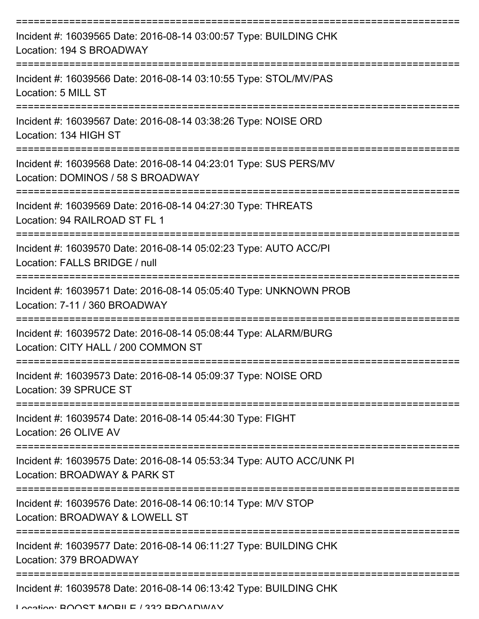| Incident #: 16039565 Date: 2016-08-14 03:00:57 Type: BUILDING CHK<br>Location: 194 S BROADWAY          |
|--------------------------------------------------------------------------------------------------------|
| Incident #: 16039566 Date: 2016-08-14 03:10:55 Type: STOL/MV/PAS<br>Location: 5 MILL ST                |
| Incident #: 16039567 Date: 2016-08-14 03:38:26 Type: NOISE ORD<br>Location: 134 HIGH ST                |
| Incident #: 16039568 Date: 2016-08-14 04:23:01 Type: SUS PERS/MV<br>Location: DOMINOS / 58 S BROADWAY  |
| Incident #: 16039569 Date: 2016-08-14 04:27:30 Type: THREATS<br>Location: 94 RAILROAD ST FL 1          |
| Incident #: 16039570 Date: 2016-08-14 05:02:23 Type: AUTO ACC/PI<br>Location: FALLS BRIDGE / null      |
| Incident #: 16039571 Date: 2016-08-14 05:05:40 Type: UNKNOWN PROB<br>Location: 7-11 / 360 BROADWAY     |
| Incident #: 16039572 Date: 2016-08-14 05:08:44 Type: ALARM/BURG<br>Location: CITY HALL / 200 COMMON ST |
| Incident #: 16039573 Date: 2016-08-14 05:09:37 Type: NOISE ORD<br>Location: 39 SPRUCE ST               |
| Incident #: 16039574 Date: 2016-08-14 05:44:30 Type: FIGHT<br>Location: 26 OLIVE AV                    |
| Incident #: 16039575 Date: 2016-08-14 05:53:34 Type: AUTO ACC/UNK PI<br>Location: BROADWAY & PARK ST   |
| Incident #: 16039576 Date: 2016-08-14 06:10:14 Type: M/V STOP<br>Location: BROADWAY & LOWELL ST        |
| Incident #: 16039577 Date: 2016-08-14 06:11:27 Type: BUILDING CHK<br>Location: 379 BROADWAY            |
| Incident #: 16039578 Date: 2016-08-14 06:13:42 Type: BUILDING CHK                                      |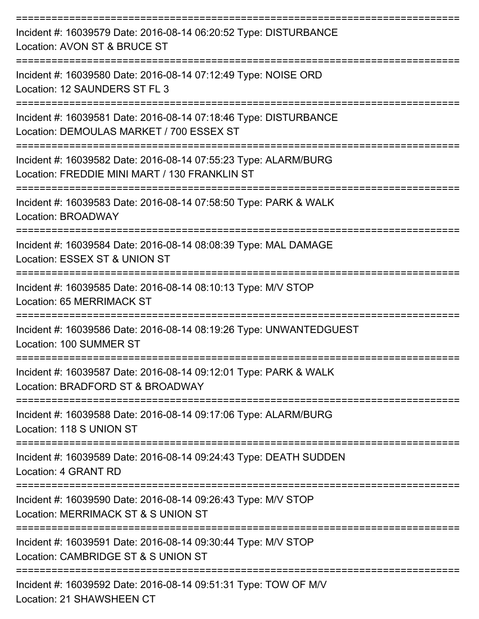| Incident #: 16039579 Date: 2016-08-14 06:20:52 Type: DISTURBANCE<br>Location: AVON ST & BRUCE ST                                         |
|------------------------------------------------------------------------------------------------------------------------------------------|
| Incident #: 16039580 Date: 2016-08-14 07:12:49 Type: NOISE ORD<br>Location: 12 SAUNDERS ST FL 3                                          |
| Incident #: 16039581 Date: 2016-08-14 07:18:46 Type: DISTURBANCE<br>Location: DEMOULAS MARKET / 700 ESSEX ST                             |
| Incident #: 16039582 Date: 2016-08-14 07:55:23 Type: ALARM/BURG<br>Location: FREDDIE MINI MART / 130 FRANKLIN ST                         |
| Incident #: 16039583 Date: 2016-08-14 07:58:50 Type: PARK & WALK<br><b>Location: BROADWAY</b>                                            |
| Incident #: 16039584 Date: 2016-08-14 08:08:39 Type: MAL DAMAGE<br>Location: ESSEX ST & UNION ST                                         |
| Incident #: 16039585 Date: 2016-08-14 08:10:13 Type: M/V STOP<br>Location: 65 MERRIMACK ST                                               |
| Incident #: 16039586 Date: 2016-08-14 08:19:26 Type: UNWANTEDGUEST<br>Location: 100 SUMMER ST                                            |
| Incident #: 16039587 Date: 2016-08-14 09:12:01 Type: PARK & WALK<br>Location: BRADFORD ST & BROADWAY                                     |
| Incident #: 16039588 Date: 2016-08-14 09:17:06 Type: ALARM/BURG<br>Location: 118 S UNION ST                                              |
| ------------------------------<br>Incident #: 16039589 Date: 2016-08-14 09:24:43 Type: DEATH SUDDEN<br>Location: 4 GRANT RD              |
| :===============================<br>Incident #: 16039590 Date: 2016-08-14 09:26:43 Type: M/V STOP<br>Location: MERRIMACK ST & S UNION ST |
| Incident #: 16039591 Date: 2016-08-14 09:30:44 Type: M/V STOP<br>Location: CAMBRIDGE ST & S UNION ST                                     |
| Incident #: 16039592 Date: 2016-08-14 09:51:31 Type: TOW OF M/V<br>$L$ coofiers $24$ CLIAM(CLIEEN) $CT$                                  |

Location: 21 SHAWSHEEN CT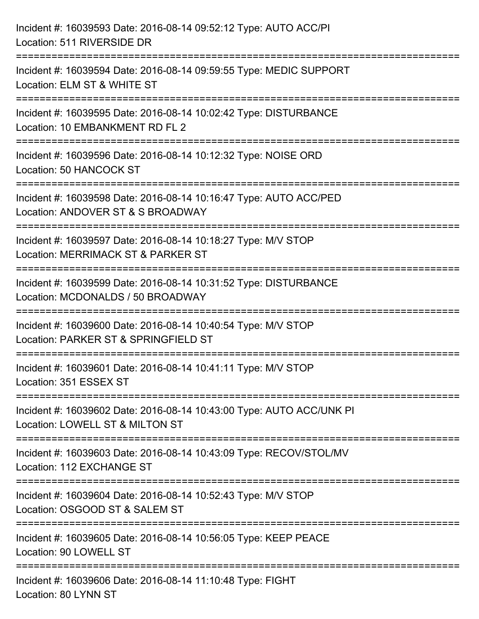| Incident #: 16039593 Date: 2016-08-14 09:52:12 Type: AUTO ACC/PI<br>Location: 511 RIVERSIDE DR                                            |
|-------------------------------------------------------------------------------------------------------------------------------------------|
| Incident #: 16039594 Date: 2016-08-14 09:59:55 Type: MEDIC SUPPORT<br>Location: ELM ST & WHITE ST                                         |
| Incident #: 16039595 Date: 2016-08-14 10:02:42 Type: DISTURBANCE<br>Location: 10 EMBANKMENT RD FL 2<br>================================== |
| Incident #: 16039596 Date: 2016-08-14 10:12:32 Type: NOISE ORD<br>Location: 50 HANCOCK ST                                                 |
| Incident #: 16039598 Date: 2016-08-14 10:16:47 Type: AUTO ACC/PED<br>Location: ANDOVER ST & S BROADWAY                                    |
| Incident #: 16039597 Date: 2016-08-14 10:18:27 Type: M/V STOP<br>Location: MERRIMACK ST & PARKER ST                                       |
| :===========================<br>Incident #: 16039599 Date: 2016-08-14 10:31:52 Type: DISTURBANCE<br>Location: MCDONALDS / 50 BROADWAY     |
| Incident #: 16039600 Date: 2016-08-14 10:40:54 Type: M/V STOP<br>Location: PARKER ST & SPRINGFIELD ST                                     |
| Incident #: 16039601 Date: 2016-08-14 10:41:11 Type: M/V STOP<br>Location: 351 ESSEX ST                                                   |
| Incident #: 16039602 Date: 2016-08-14 10:43:00 Type: AUTO ACC/UNK PI<br>Location: LOWELL ST & MILTON ST                                   |
| Incident #: 16039603 Date: 2016-08-14 10:43:09 Type: RECOV/STOL/MV<br>Location: 112 EXCHANGE ST                                           |
| Incident #: 16039604 Date: 2016-08-14 10:52:43 Type: M/V STOP<br>Location: OSGOOD ST & SALEM ST                                           |
| Incident #: 16039605 Date: 2016-08-14 10:56:05 Type: KEEP PEACE<br>Location: 90 LOWELL ST                                                 |
| Incident #: 16039606 Date: 2016-08-14 11:10:48 Type: FIGHT<br>Location: 80 LYNN ST                                                        |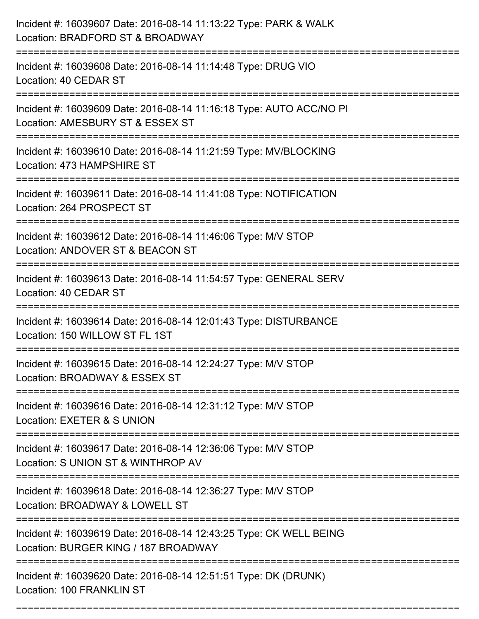| Incident #: 16039607 Date: 2016-08-14 11:13:22 Type: PARK & WALK<br>Location: BRADFORD ST & BROADWAY<br>:======================   |
|-----------------------------------------------------------------------------------------------------------------------------------|
| Incident #: 16039608 Date: 2016-08-14 11:14:48 Type: DRUG VIO<br>Location: 40 CEDAR ST                                            |
| Incident #: 16039609 Date: 2016-08-14 11:16:18 Type: AUTO ACC/NO PI<br>Location: AMESBURY ST & ESSEX ST                           |
| Incident #: 16039610 Date: 2016-08-14 11:21:59 Type: MV/BLOCKING<br>Location: 473 HAMPSHIRE ST                                    |
| Incident #: 16039611 Date: 2016-08-14 11:41:08 Type: NOTIFICATION<br>Location: 264 PROSPECT ST                                    |
| Incident #: 16039612 Date: 2016-08-14 11:46:06 Type: M/V STOP<br>Location: ANDOVER ST & BEACON ST                                 |
| Incident #: 16039613 Date: 2016-08-14 11:54:57 Type: GENERAL SERV<br>Location: 40 CEDAR ST<br>:================================== |
| Incident #: 16039614 Date: 2016-08-14 12:01:43 Type: DISTURBANCE<br>Location: 150 WILLOW ST FL 1ST                                |
| Incident #: 16039615 Date: 2016-08-14 12:24:27 Type: M/V STOP<br>Location: BROADWAY & ESSEX ST                                    |
| Incident #: 16039616 Date: 2016-08-14 12:31:12 Type: M/V STOP<br>Location: EXETER & S UNION                                       |
| Incident #: 16039617 Date: 2016-08-14 12:36:06 Type: M/V STOP<br>Location: S UNION ST & WINTHROP AV                               |
| Incident #: 16039618 Date: 2016-08-14 12:36:27 Type: M/V STOP<br>Location: BROADWAY & LOWELL ST                                   |
| Incident #: 16039619 Date: 2016-08-14 12:43:25 Type: CK WELL BEING<br>Location: BURGER KING / 187 BROADWAY                        |
| Incident #: 16039620 Date: 2016-08-14 12:51:51 Type: DK (DRUNK)<br>Location: 100 FRANKLIN ST                                      |

===========================================================================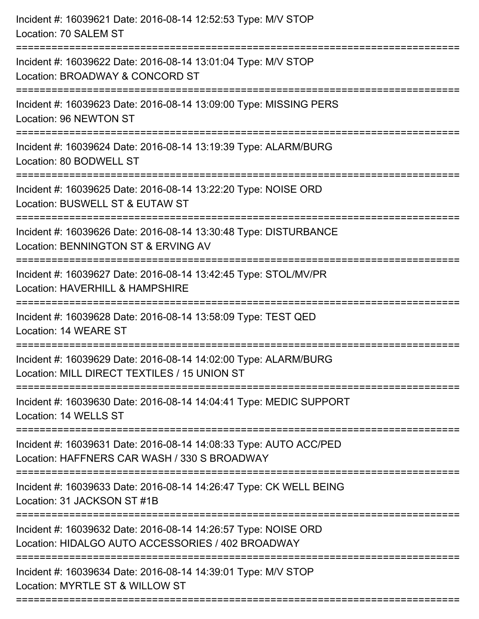| Incident #: 16039621 Date: 2016-08-14 12:52:53 Type: M/V STOP<br>Location: 70 SALEM ST                                               |
|--------------------------------------------------------------------------------------------------------------------------------------|
| Incident #: 16039622 Date: 2016-08-14 13:01:04 Type: M/V STOP<br>Location: BROADWAY & CONCORD ST                                     |
| Incident #: 16039623 Date: 2016-08-14 13:09:00 Type: MISSING PERS<br>Location: 96 NEWTON ST                                          |
| Incident #: 16039624 Date: 2016-08-14 13:19:39 Type: ALARM/BURG<br>Location: 80 BODWELL ST                                           |
| Incident #: 16039625 Date: 2016-08-14 13:22:20 Type: NOISE ORD<br>Location: BUSWELL ST & EUTAW ST                                    |
| Incident #: 16039626 Date: 2016-08-14 13:30:48 Type: DISTURBANCE<br>Location: BENNINGTON ST & ERVING AV<br>======================    |
| Incident #: 16039627 Date: 2016-08-14 13:42:45 Type: STOL/MV/PR<br>Location: HAVERHILL & HAMPSHIRE                                   |
| Incident #: 16039628 Date: 2016-08-14 13:58:09 Type: TEST QED<br>Location: 14 WEARE ST                                               |
| Incident #: 16039629 Date: 2016-08-14 14:02:00 Type: ALARM/BURG<br>Location: MILL DIRECT TEXTILES / 15 UNION ST                      |
| Incident #: 16039630 Date: 2016-08-14 14:04:41 Type: MEDIC SUPPORT<br>Location: 14 WELLS ST                                          |
| Incident #: 16039631 Date: 2016-08-14 14:08:33 Type: AUTO ACC/PED<br>Location: HAFFNERS CAR WASH / 330 S BROADWAY                    |
| ===============================<br>Incident #: 16039633 Date: 2016-08-14 14:26:47 Type: CK WELL BEING<br>Location: 31 JACKSON ST #1B |
| Incident #: 16039632 Date: 2016-08-14 14:26:57 Type: NOISE ORD<br>Location: HIDALGO AUTO ACCESSORIES / 402 BROADWAY                  |
| Incident #: 16039634 Date: 2016-08-14 14:39:01 Type: M/V STOP<br>Location: MYRTLE ST & WILLOW ST                                     |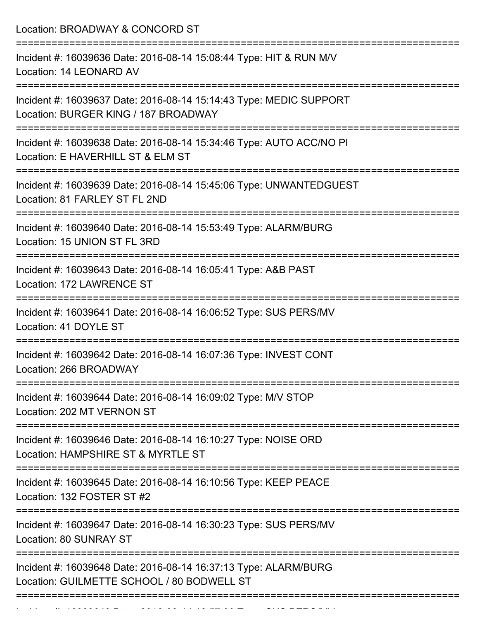| Location: BROADWAY & CONCORD ST                                                                                                                   |
|---------------------------------------------------------------------------------------------------------------------------------------------------|
| Incident #: 16039636 Date: 2016-08-14 15:08:44 Type: HIT & RUN M/V<br>Location: 14 LEONARD AV<br>====================================             |
| Incident #: 16039637 Date: 2016-08-14 15:14:43 Type: MEDIC SUPPORT<br>Location: BURGER KING / 187 BROADWAY                                        |
| Incident #: 16039638 Date: 2016-08-14 15:34:46 Type: AUTO ACC/NO PI<br>Location: E HAVERHILL ST & ELM ST<br>===================================== |
| Incident #: 16039639 Date: 2016-08-14 15:45:06 Type: UNWANTEDGUEST<br>Location: 81 FARLEY ST FL 2ND                                               |
| :====================<br>Incident #: 16039640 Date: 2016-08-14 15:53:49 Type: ALARM/BURG<br>Location: 15 UNION ST FL 3RD                          |
| Incident #: 16039643 Date: 2016-08-14 16:05:41 Type: A&B PAST<br>Location: 172 LAWRENCE ST                                                        |
| :==================<br>Incident #: 16039641 Date: 2016-08-14 16:06:52 Type: SUS PERS/MV<br>Location: 41 DOYLE ST                                  |
| Incident #: 16039642 Date: 2016-08-14 16:07:36 Type: INVEST CONT<br>Location: 266 BROADWAY                                                        |
| Incident #: 16039644 Date: 2016-08-14 16:09:02 Type: M/V STOP<br>Location: 202 MT VERNON ST                                                       |
| Incident #: 16039646 Date: 2016-08-14 16:10:27 Type: NOISE ORD<br>Location: HAMPSHIRE ST & MYRTLE ST                                              |
| Incident #: 16039645 Date: 2016-08-14 16:10:56 Type: KEEP PEACE<br>Location: 132 FOSTER ST #2                                                     |
| Incident #: 16039647 Date: 2016-08-14 16:30:23 Type: SUS PERS/MV<br>Location: 80 SUNRAY ST                                                        |
| Incident #: 16039648 Date: 2016-08-14 16:37:13 Type: ALARM/BURG<br>Location: GUILMETTE SCHOOL / 80 BODWELL ST                                     |
|                                                                                                                                                   |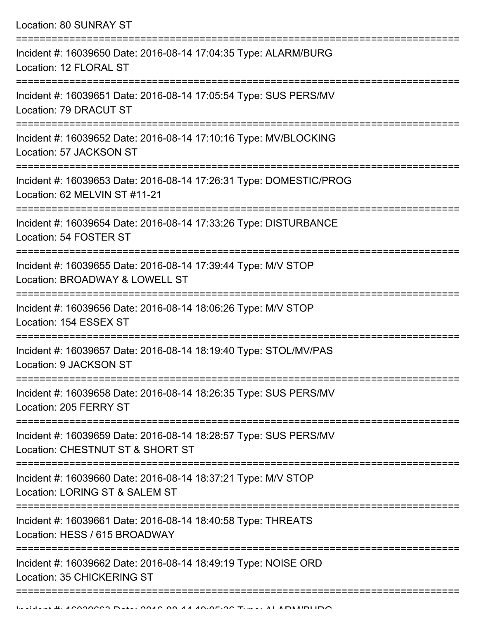| <b>Location: 80 SUNRAY ST</b>                                                                        |
|------------------------------------------------------------------------------------------------------|
| Incident #: 16039650 Date: 2016-08-14 17:04:35 Type: ALARM/BURG<br>Location: 12 FLORAL ST            |
| Incident #: 16039651 Date: 2016-08-14 17:05:54 Type: SUS PERS/MV<br>Location: 79 DRACUT ST           |
| Incident #: 16039652 Date: 2016-08-14 17:10:16 Type: MV/BLOCKING<br>Location: 57 JACKSON ST          |
| Incident #: 16039653 Date: 2016-08-14 17:26:31 Type: DOMESTIC/PROG<br>Location: 62 MELVIN ST #11-21  |
| Incident #: 16039654 Date: 2016-08-14 17:33:26 Type: DISTURBANCE<br>Location: 54 FOSTER ST           |
| Incident #: 16039655 Date: 2016-08-14 17:39:44 Type: M/V STOP<br>Location: BROADWAY & LOWELL ST      |
| Incident #: 16039656 Date: 2016-08-14 18:06:26 Type: M/V STOP<br>Location: 154 ESSEX ST              |
| Incident #: 16039657 Date: 2016-08-14 18:19:40 Type: STOL/MV/PAS<br>Location: 9 JACKSON ST           |
| Incident #: 16039658 Date: 2016-08-14 18:26:35 Type: SUS PERS/MV<br>Location: 205 FERRY ST           |
| Incident #: 16039659 Date: 2016-08-14 18:28:57 Type: SUS PERS/MV<br>Location: CHESTNUT ST & SHORT ST |
| Incident #: 16039660 Date: 2016-08-14 18:37:21 Type: M/V STOP<br>Location: LORING ST & SALEM ST      |
| Incident #: 16039661 Date: 2016-08-14 18:40:58 Type: THREATS<br>Location: HESS / 615 BROADWAY        |
| Incident #: 16039662 Date: 2016-08-14 18:49:19 Type: NOISE ORD<br>Location: 35 CHICKERING ST         |
|                                                                                                      |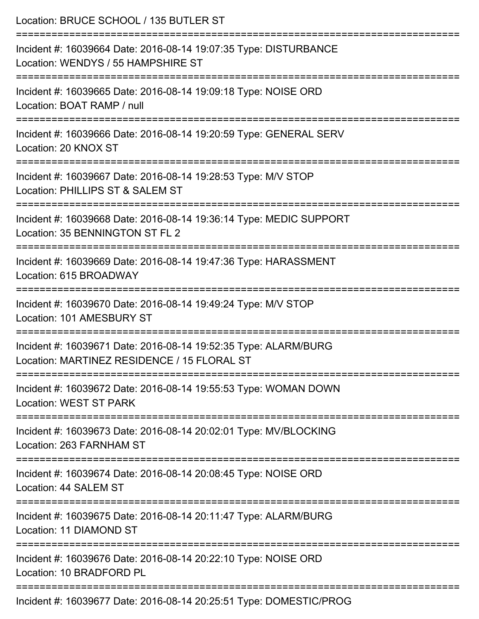| Location: BRUCE SCHOOL / 135 BUTLER ST                                                                         |
|----------------------------------------------------------------------------------------------------------------|
| Incident #: 16039664 Date: 2016-08-14 19:07:35 Type: DISTURBANCE<br>Location: WENDYS / 55 HAMPSHIRE ST         |
| Incident #: 16039665 Date: 2016-08-14 19:09:18 Type: NOISE ORD<br>Location: BOAT RAMP / null                   |
| Incident #: 16039666 Date: 2016-08-14 19:20:59 Type: GENERAL SERV<br>Location: 20 KNOX ST                      |
| Incident #: 16039667 Date: 2016-08-14 19:28:53 Type: M/V STOP<br>Location: PHILLIPS ST & SALEM ST              |
| Incident #: 16039668 Date: 2016-08-14 19:36:14 Type: MEDIC SUPPORT<br>Location: 35 BENNINGTON ST FL 2          |
| Incident #: 16039669 Date: 2016-08-14 19:47:36 Type: HARASSMENT<br>Location: 615 BROADWAY                      |
| Incident #: 16039670 Date: 2016-08-14 19:49:24 Type: M/V STOP<br>Location: 101 AMESBURY ST                     |
| Incident #: 16039671 Date: 2016-08-14 19:52:35 Type: ALARM/BURG<br>Location: MARTINEZ RESIDENCE / 15 FLORAL ST |
| Incident #: 16039672 Date: 2016-08-14 19:55:53 Type: WOMAN DOWN<br>Location: WEST ST PARK                      |
| Incident #: 16039673 Date: 2016-08-14 20:02:01 Type: MV/BLOCKING<br>Location: 263 FARNHAM ST                   |
| Incident #: 16039674 Date: 2016-08-14 20:08:45 Type: NOISE ORD<br>Location: 44 SALEM ST                        |
| Incident #: 16039675 Date: 2016-08-14 20:11:47 Type: ALARM/BURG<br>Location: 11 DIAMOND ST                     |
| Incident #: 16039676 Date: 2016-08-14 20:22:10 Type: NOISE ORD<br>Location: 10 BRADFORD PL                     |
| $277.0 \pm 1.0040.00.44.00.05.54.$                                                                             |

Incident #: 16039677 Date: 2016-08-14 20:25:51 Type: DOMESTIC/PROG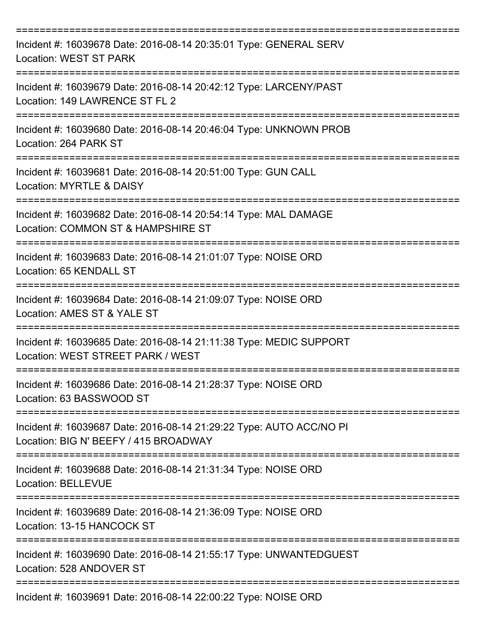| Incident #: 16039678 Date: 2016-08-14 20:35:01 Type: GENERAL SERV<br><b>Location: WEST ST PARK</b>             |
|----------------------------------------------------------------------------------------------------------------|
| Incident #: 16039679 Date: 2016-08-14 20:42:12 Type: LARCENY/PAST<br>Location: 149 LAWRENCE ST FL 2            |
| Incident #: 16039680 Date: 2016-08-14 20:46:04 Type: UNKNOWN PROB<br>Location: 264 PARK ST                     |
| Incident #: 16039681 Date: 2016-08-14 20:51:00 Type: GUN CALL<br>Location: MYRTLE & DAISY<br>----------------- |
| Incident #: 16039682 Date: 2016-08-14 20:54:14 Type: MAL DAMAGE<br>Location: COMMON ST & HAMPSHIRE ST          |
| Incident #: 16039683 Date: 2016-08-14 21:01:07 Type: NOISE ORD<br>Location: 65 KENDALL ST                      |
| Incident #: 16039684 Date: 2016-08-14 21:09:07 Type: NOISE ORD<br>Location: AMES ST & YALE ST                  |
| Incident #: 16039685 Date: 2016-08-14 21:11:38 Type: MEDIC SUPPORT<br>Location: WEST STREET PARK / WEST        |
| Incident #: 16039686 Date: 2016-08-14 21:28:37 Type: NOISE ORD<br>Location: 63 BASSWOOD ST                     |
| Incident #: 16039687 Date: 2016-08-14 21:29:22 Type: AUTO ACC/NO PI<br>Location: BIG N' BEEFY / 415 BROADWAY   |
| Incident #: 16039688 Date: 2016-08-14 21:31:34 Type: NOISE ORD<br><b>Location: BELLEVUE</b>                    |
| Incident #: 16039689 Date: 2016-08-14 21:36:09 Type: NOISE ORD<br>Location: 13-15 HANCOCK ST                   |
| Incident #: 16039690 Date: 2016-08-14 21:55:17 Type: UNWANTEDGUEST<br>Location: 528 ANDOVER ST                 |
| Incident #: 16039691 Date: 2016-08-14 22:00:22 Type: NOISE ORD                                                 |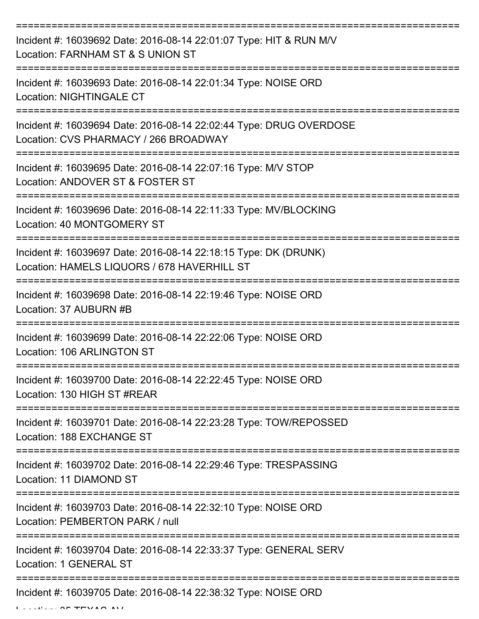| Incident #: 16039692 Date: 2016-08-14 22:01:07 Type: HIT & RUN M/V<br>Location: FARNHAM ST & S UNION ST        |
|----------------------------------------------------------------------------------------------------------------|
| Incident #: 16039693 Date: 2016-08-14 22:01:34 Type: NOISE ORD<br><b>Location: NIGHTINGALE CT</b>              |
| Incident #: 16039694 Date: 2016-08-14 22:02:44 Type: DRUG OVERDOSE<br>Location: CVS PHARMACY / 266 BROADWAY    |
| Incident #: 16039695 Date: 2016-08-14 22:07:16 Type: M/V STOP<br>Location: ANDOVER ST & FOSTER ST              |
| Incident #: 16039696 Date: 2016-08-14 22:11:33 Type: MV/BLOCKING<br>Location: 40 MONTGOMERY ST                 |
| Incident #: 16039697 Date: 2016-08-14 22:18:15 Type: DK (DRUNK)<br>Location: HAMELS LIQUORS / 678 HAVERHILL ST |
| Incident #: 16039698 Date: 2016-08-14 22:19:46 Type: NOISE ORD<br>Location: 37 AUBURN #B                       |
| Incident #: 16039699 Date: 2016-08-14 22:22:06 Type: NOISE ORD<br>Location: 106 ARLINGTON ST                   |
| Incident #: 16039700 Date: 2016-08-14 22:22:45 Type: NOISE ORD<br>Location: 130 HIGH ST #REAR                  |
| Incident #: 16039701 Date: 2016-08-14 22:23:28 Type: TOW/REPOSSED<br>Location: 188 EXCHANGE ST                 |
| Incident #: 16039702 Date: 2016-08-14 22:29:46 Type: TRESPASSING<br>Location: 11 DIAMOND ST                    |
| Incident #: 16039703 Date: 2016-08-14 22:32:10 Type: NOISE ORD<br>Location: PEMBERTON PARK / null              |
| Incident #: 16039704 Date: 2016-08-14 22:33:37 Type: GENERAL SERV<br>Location: 1 GENERAL ST                    |
| Incident #: 16039705 Date: 2016-08-14 22:38:32 Type: NOISE ORD                                                 |

 $L = L L L L L$   $\theta = T T N L \theta$  ave